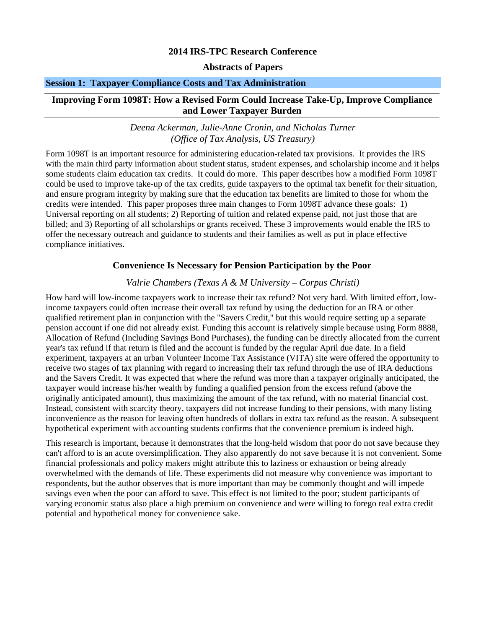## **2014 IRS-TPC Research Conference**

## **Abstracts of Papers**

#### **Session 1: Taxpayer Compliance Costs and Tax Administration**

#### **Improving Form 1098T: How a Revised Form Could Increase Take-Up, Improve Compliance and Lower Taxpayer Burden**

#### *Deena Ackerman, Julie-Anne Cronin, and Nicholas Turner (Office of Tax Analysis, US Treasury)*

Form 1098T is an important resource for administering education-related tax provisions. It provides the IRS with the main third party information about student status, student expenses, and scholarship income and it helps some students claim education tax credits. It could do more. This paper describes how a modified Form 1098T could be used to improve take-up of the tax credits, guide taxpayers to the optimal tax benefit for their situation, and ensure program integrity by making sure that the education tax benefits are limited to those for whom the credits were intended. This paper proposes three main changes to Form 1098T advance these goals: 1) Universal reporting on all students; 2) Reporting of tuition and related expense paid, not just those that are billed; and 3) Reporting of all scholarships or grants received. These 3 improvements would enable the IRS to offer the necessary outreach and guidance to students and their families as well as put in place effective compliance initiatives.

#### **Convenience Is Necessary for Pension Participation by the Poor**

*Valrie Chambers (Texas A & M University – Corpus Christi)* 

How hard will low-income taxpayers work to increase their tax refund? Not very hard. With limited effort, lowincome taxpayers could often increase their overall tax refund by using the deduction for an IRA or other qualified retirement plan in conjunction with the "Savers Credit," but this would require setting up a separate pension account if one did not already exist. Funding this account is relatively simple because using Form 8888, Allocation of Refund (Including Savings Bond Purchases), the funding can be directly allocated from the current year's tax refund if that return is filed and the account is funded by the regular April due date. In a field experiment, taxpayers at an urban Volunteer Income Tax Assistance (VITA) site were offered the opportunity to receive two stages of tax planning with regard to increasing their tax refund through the use of IRA deductions and the Savers Credit. It was expected that where the refund was more than a taxpayer originally anticipated, the taxpayer would increase his/her wealth by funding a qualified pension from the excess refund (above the originally anticipated amount), thus maximizing the amount of the tax refund, with no material financial cost. Instead, consistent with scarcity theory, taxpayers did not increase funding to their pensions, with many listing inconvenience as the reason for leaving often hundreds of dollars in extra tax refund as the reason. A subsequent hypothetical experiment with accounting students confirms that the convenience premium is indeed high.

This research is important, because it demonstrates that the long-held wisdom that poor do not save because they can't afford to is an acute oversimplification. They also apparently do not save because it is not convenient. Some financial professionals and policy makers might attribute this to laziness or exhaustion or being already overwhelmed with the demands of life. These experiments did not measure why convenience was important to respondents, but the author observes that is more important than may be commonly thought and will impede savings even when the poor can afford to save. This effect is not limited to the poor; student participants of varying economic status also place a high premium on convenience and were willing to forego real extra credit potential and hypothetical money for convenience sake.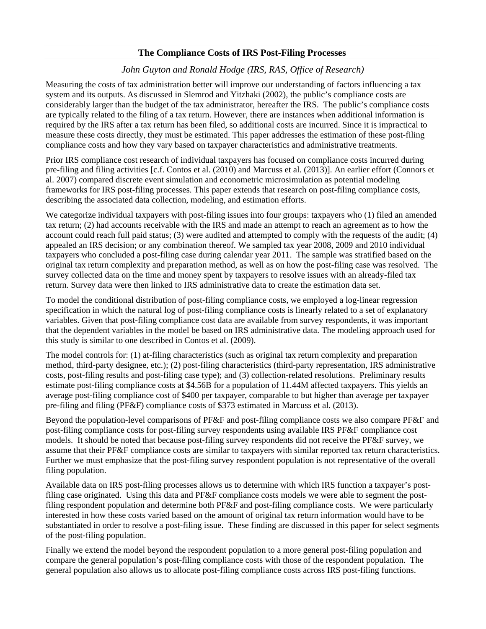## **The Compliance Costs of IRS Post-Filing Processes**

## *John Guyton and Ronald Hodge (IRS, RAS, Office of Research)*

Measuring the costs of tax administration better will improve our understanding of factors influencing a tax system and its outputs. As discussed in Slemrod and Yitzhaki (2002), the public's compliance costs are considerably larger than the budget of the tax administrator, hereafter the IRS. The public's compliance costs are typically related to the filing of a tax return. However, there are instances when additional information is required by the IRS after a tax return has been filed, so additional costs are incurred. Since it is impractical to measure these costs directly, they must be estimated. This paper addresses the estimation of these post-filing compliance costs and how they vary based on taxpayer characteristics and administrative treatments.

Prior IRS compliance cost research of individual taxpayers has focused on compliance costs incurred during pre-filing and filing activities [c.f. Contos et al. (2010) and Marcuss et al. (2013)]. An earlier effort (Connors et al. 2007) compared discrete event simulation and econometric microsimulation as potential modeling frameworks for IRS post-filing processes. This paper extends that research on post-filing compliance costs, describing the associated data collection, modeling, and estimation efforts.

We categorize individual taxpayers with post-filing issues into four groups: taxpayers who (1) filed an amended tax return; (2) had accounts receivable with the IRS and made an attempt to reach an agreement as to how the account could reach full paid status; (3) were audited and attempted to comply with the requests of the audit; (4) appealed an IRS decision; or any combination thereof. We sampled tax year 2008, 2009 and 2010 individual taxpayers who concluded a post-filing case during calendar year 2011. The sample was stratified based on the original tax return complexity and preparation method, as well as on how the post-filing case was resolved. The survey collected data on the time and money spent by taxpayers to resolve issues with an already-filed tax return. Survey data were then linked to IRS administrative data to create the estimation data set.

To model the conditional distribution of post-filing compliance costs, we employed a log-linear regression specification in which the natural log of post-filing compliance costs is linearly related to a set of explanatory variables. Given that post-filing compliance cost data are available from survey respondents, it was important that the dependent variables in the model be based on IRS administrative data. The modeling approach used for this study is similar to one described in Contos et al. (2009).

The model controls for: (1) at-filing characteristics (such as original tax return complexity and preparation method, third-party designee, etc.); (2) post-filing characteristics (third-party representation, IRS administrative costs, post-filing results and post-filing case type); and (3) collection-related resolutions. Preliminary results estimate post-filing compliance costs at \$4.56B for a population of 11.44M affected taxpayers. This yields an average post-filing compliance cost of \$400 per taxpayer, comparable to but higher than average per taxpayer pre-filing and filing (PF&F) compliance costs of \$373 estimated in Marcuss et al. (2013).

Beyond the population-level comparisons of PF&F and post-filing compliance costs we also compare PF&F and post-filing compliance costs for post-filing survey respondents using available IRS PF&F compliance cost models. It should be noted that because post-filing survey respondents did not receive the PF&F survey, we assume that their PF&F compliance costs are similar to taxpayers with similar reported tax return characteristics. Further we must emphasize that the post-filing survey respondent population is not representative of the overall filing population.

Available data on IRS post-filing processes allows us to determine with which IRS function a taxpayer's postfiling case originated. Using this data and PF&F compliance costs models we were able to segment the postfiling respondent population and determine both PF&F and post-filing compliance costs. We were particularly interested in how these costs varied based on the amount of original tax return information would have to be substantiated in order to resolve a post-filing issue. These finding are discussed in this paper for select segments of the post-filing population.

Finally we extend the model beyond the respondent population to a more general post-filing population and compare the general population's post-filing compliance costs with those of the respondent population. The general population also allows us to allocate post-filing compliance costs across IRS post-filing functions.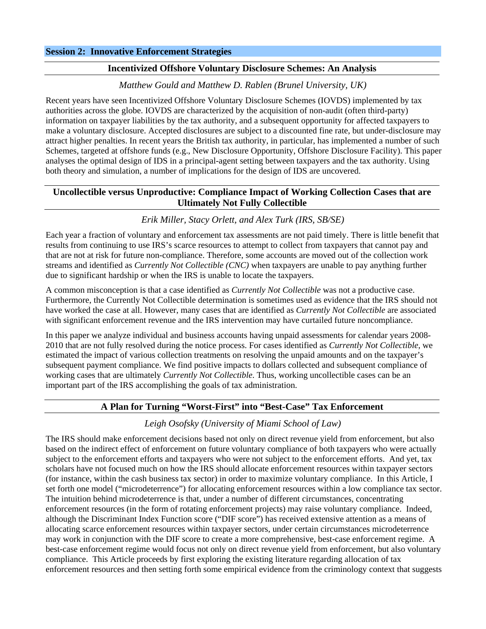#### **Incentivized Offshore Voluntary Disclosure Schemes: An Analysis**

## *Matthew Gould and Matthew D. Rablen (Brunel University, UK)*

Recent years have seen Incentivized Offshore Voluntary Disclosure Schemes (IOVDS) implemented by tax authorities across the globe. IOVDS are characterized by the acquisition of non-audit (often third-party) information on taxpayer liabilities by the tax authority, and a subsequent opportunity for affected taxpayers to make a voluntary disclosure. Accepted disclosures are subject to a discounted fine rate, but under-disclosure may attract higher penalties. In recent years the British tax authority, in particular, has implemented a number of such Schemes, targeted at offshore funds (e.g., New Disclosure Opportunity, Offshore Disclosure Facility). This paper analyses the optimal design of IDS in a principal-agent setting between taxpayers and the tax authority. Using both theory and simulation, a number of implications for the design of IDS are uncovered.

## **Uncollectible versus Unproductive: Compliance Impact of Working Collection Cases that are Ultimately Not Fully Collectible**

#### *Erik Miller, Stacy Orlett, and Alex Turk (IRS, SB/SE)*

Each year a fraction of voluntary and enforcement tax assessments are not paid timely. There is little benefit that results from continuing to use IRS's scarce resources to attempt to collect from taxpayers that cannot pay and that are not at risk for future non-compliance. Therefore, some accounts are moved out of the collection work streams and identified as *Currently Not Collectible (CNC)* when taxpayers are unable to pay anything further due to significant hardship or when the IRS is unable to locate the taxpayers.

A common misconception is that a case identified as *Currently Not Collectible* was not a productive case. Furthermore, the Currently Not Collectible determination is sometimes used as evidence that the IRS should not have worked the case at all. However, many cases that are identified as *Currently Not Collectible* are associated with significant enforcement revenue and the IRS intervention may have curtailed future noncompliance.

In this paper we analyze individual and business accounts having unpaid assessments for calendar years 2008- 2010 that are not fully resolved during the notice process. For cases identified as *Currently Not Collectible*, we estimated the impact of various collection treatments on resolving the unpaid amounts and on the taxpayer's subsequent payment compliance. We find positive impacts to dollars collected and subsequent compliance of working cases that are ultimately *Currently Not Collectible*. Thus, working uncollectible cases can be an important part of the IRS accomplishing the goals of tax administration.

## **A Plan for Turning "Worst-First" into "Best-Case" Tax Enforcement**

### *Leigh Osofsky (University of Miami School of Law)*

The IRS should make enforcement decisions based not only on direct revenue yield from enforcement, but also based on the indirect effect of enforcement on future voluntary compliance of both taxpayers who were actually subject to the enforcement efforts and taxpayers who were not subject to the enforcement efforts. And yet, tax scholars have not focused much on how the IRS should allocate enforcement resources within taxpayer sectors (for instance, within the cash business tax sector) in order to maximize voluntary compliance. In this Article, I set forth one model ("microdeterrence") for allocating enforcement resources within a low compliance tax sector. The intuition behind microdeterrence is that, under a number of different circumstances, concentrating enforcement resources (in the form of rotating enforcement projects) may raise voluntary compliance. Indeed, although the Discriminant Index Function score ("DIF score") has received extensive attention as a means of allocating scarce enforcement resources within taxpayer sectors, under certain circumstances microdeterrence may work in conjunction with the DIF score to create a more comprehensive, best-case enforcement regime. A best-case enforcement regime would focus not only on direct revenue yield from enforcement, but also voluntary compliance. This Article proceeds by first exploring the existing literature regarding allocation of tax enforcement resources and then setting forth some empirical evidence from the criminology context that suggests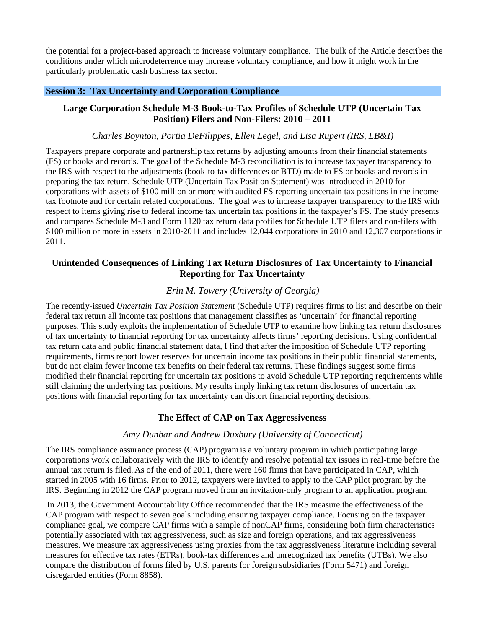the potential for a project-based approach to increase voluntary compliance. The bulk of the Article describes the conditions under which microdeterrence may increase voluntary compliance, and how it might work in the particularly problematic cash business tax sector.

## **Session 3: Tax Uncertainty and Corporation Compliance**

## **Large Corporation Schedule M-3 Book-to-Tax Profiles of Schedule UTP (Uncertain Tax Position) Filers and Non-Filers: 2010 – 2011**

## *Charles Boynton, Portia DeFilippes, Ellen Legel, and Lisa Rupert (IRS, LB&I)*

Taxpayers prepare corporate and partnership tax returns by adjusting amounts from their financial statements (FS) or books and records. The goal of the Schedule M-3 reconciliation is to increase taxpayer transparency to the IRS with respect to the adjustments (book-to-tax differences or BTD) made to FS or books and records in preparing the tax return. Schedule UTP (Uncertain Tax Position Statement) was introduced in 2010 for corporations with assets of \$100 million or more with audited FS reporting uncertain tax positions in the income tax footnote and for certain related corporations. The goal was to increase taxpayer transparency to the IRS with respect to items giving rise to federal income tax uncertain tax positions in the taxpayer's FS. The study presents and compares Schedule M-3 and Form 1120 tax return data profiles for Schedule UTP filers and non-filers with \$100 million or more in assets in 2010-2011 and includes 12,044 corporations in 2010 and 12,307 corporations in 2011.

## **Unintended Consequences of Linking Tax Return Disclosures of Tax Uncertainty to Financial Reporting for Tax Uncertainty**

## *Erin M. Towery (University of Georgia)*

The recently-issued *Uncertain Tax Position Statement* (Schedule UTP) requires firms to list and describe on their federal tax return all income tax positions that management classifies as 'uncertain' for financial reporting purposes. This study exploits the implementation of Schedule UTP to examine how linking tax return disclosures of tax uncertainty to financial reporting for tax uncertainty affects firms' reporting decisions. Using confidential tax return data and public financial statement data, I find that after the imposition of Schedule UTP reporting requirements, firms report lower reserves for uncertain income tax positions in their public financial statements, but do not claim fewer income tax benefits on their federal tax returns. These findings suggest some firms modified their financial reporting for uncertain tax positions to avoid Schedule UTP reporting requirements while still claiming the underlying tax positions. My results imply linking tax return disclosures of uncertain tax positions with financial reporting for tax uncertainty can distort financial reporting decisions.

# **The Effect of CAP on Tax Aggressiveness**

## *Amy Dunbar and Andrew Duxbury (University of Connecticut)*

The IRS compliance assurance process (CAP) program is a voluntary program in which participating large corporations work collaboratively with the IRS to identify and resolve potential tax issues in real-time before the annual tax return is filed. As of the end of 2011, there were 160 firms that have participated in CAP, which started in 2005 with 16 firms. Prior to 2012, taxpayers were invited to apply to the CAP pilot program by the IRS. Beginning in 2012 the CAP program moved from an invitation-only program to an application program.

In 2013, the Government Accountability Office recommended that the IRS measure the effectiveness of the CAP program with respect to seven goals including ensuring taxpayer compliance. Focusing on the taxpayer compliance goal, we compare CAP firms with a sample of nonCAP firms, considering both firm characteristics potentially associated with tax aggressiveness, such as size and foreign operations, and tax aggressiveness measures. We measure tax aggressiveness using proxies from the tax aggressiveness literature including several measures for effective tax rates (ETRs), book-tax differences and unrecognized tax benefits (UTBs). We also compare the distribution of forms filed by U.S. parents for foreign subsidiaries (Form 5471) and foreign disregarded entities (Form 8858).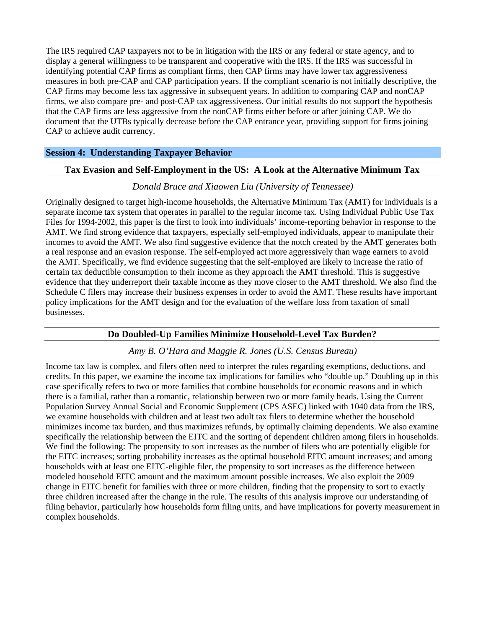The IRS required CAP taxpayers not to be in litigation with the IRS or any federal or state agency, and to display a general willingness to be transparent and cooperative with the IRS. If the IRS was successful in identifying potential CAP firms as compliant firms, then CAP firms may have lower tax aggressiveness measures in both pre-CAP and CAP participation years. If the compliant scenario is not initially descriptive, the CAP firms may become less tax aggressive in subsequent years. In addition to comparing CAP and nonCAP firms, we also compare pre- and post-CAP tax aggressiveness. Our initial results do not support the hypothesis that the CAP firms are less aggressive from the nonCAP firms either before or after joining CAP. We do document that the UTBs typically decrease before the CAP entrance year, providing support for firms joining CAP to achieve audit currency.

#### **Session 4: Understanding Taxpayer Behavior**

#### **Tax Evasion and Self-Employment in the US: A Look at the Alternative Minimum Tax**

#### *Donald Bruce and Xiaowen Liu (University of Tennessee)*

Originally designed to target high-income households, the Alternative Minimum Tax (AMT) for individuals is a separate income tax system that operates in parallel to the regular income tax. Using Individual Public Use Tax Files for 1994-2002, this paper is the first to look into individuals' income-reporting behavior in response to the AMT. We find strong evidence that taxpayers, especially self-employed individuals, appear to manipulate their incomes to avoid the AMT. We also find suggestive evidence that the notch created by the AMT generates both a real response and an evasion response. The self-employed act more aggressively than wage earners to avoid the AMT. Specifically, we find evidence suggesting that the self-employed are likely to increase the ratio of certain tax deductible consumption to their income as they approach the AMT threshold. This is suggestive evidence that they underreport their taxable income as they move closer to the AMT threshold. We also find the Schedule C filers may increase their business expenses in order to avoid the AMT. These results have important policy implications for the AMT design and for the evaluation of the welfare loss from taxation of small businesses.

### **Do Doubled-Up Families Minimize Household-Level Tax Burden?**

### *Amy B. O'Hara and Maggie R. Jones (U.S. Census Bureau)*

Income tax law is complex, and filers often need to interpret the rules regarding exemptions, deductions, and credits. In this paper, we examine the income tax implications for families who "double up." Doubling up in this case specifically refers to two or more families that combine households for economic reasons and in which there is a familial, rather than a romantic, relationship between two or more family heads. Using the Current Population Survey Annual Social and Economic Supplement (CPS ASEC) linked with 1040 data from the IRS, we examine households with children and at least two adult tax filers to determine whether the household minimizes income tax burden, and thus maximizes refunds, by optimally claiming dependents. We also examine specifically the relationship between the EITC and the sorting of dependent children among filers in households. We find the following: The propensity to sort increases as the number of filers who are potentially eligible for the EITC increases; sorting probability increases as the optimal household EITC amount increases; and among households with at least one EITC-eligible filer, the propensity to sort increases as the difference between modeled household EITC amount and the maximum amount possible increases. We also exploit the 2009 change in EITC benefit for families with three or more children, finding that the propensity to sort to exactly three children increased after the change in the rule. The results of this analysis improve our understanding of filing behavior, particularly how households form filing units, and have implications for poverty measurement in complex households.